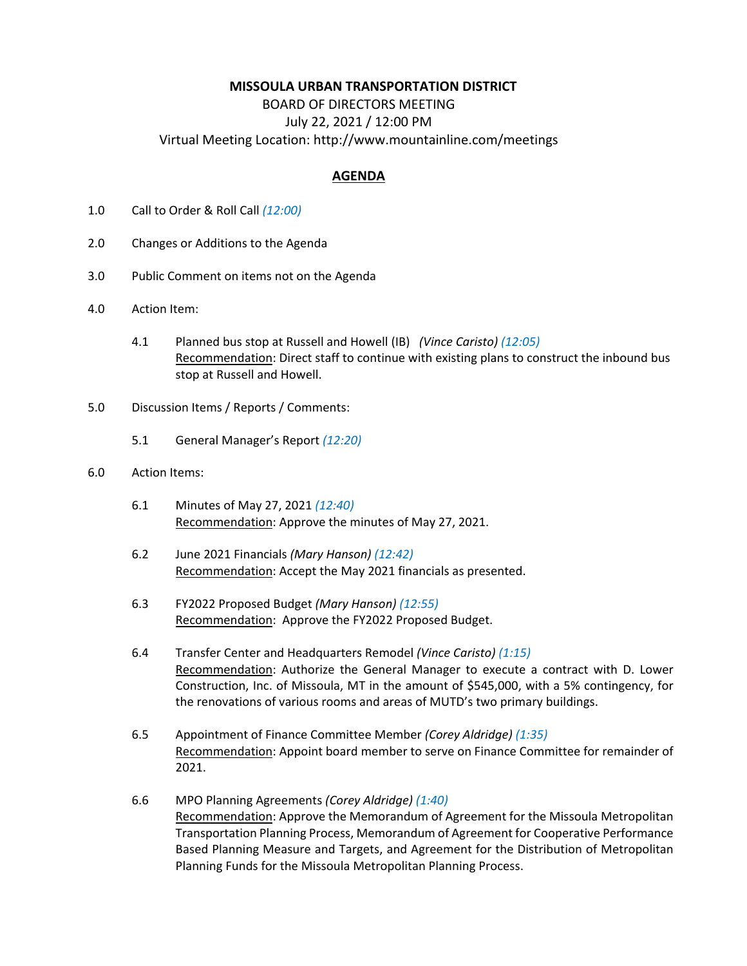## **MISSOULA URBAN TRANSPORTATION DISTRICT**

BOARD OF DIRECTORS MEETING July 22, 2021 / 12:00 PM Virtual Meeting Location: http://www.mountainline.com/meetings

## **AGENDA**

- 1.0 Call to Order & Roll Call *(12:00)*
- 2.0 Changes or Additions to the Agenda
- 3.0 Public Comment on items not on the Agenda
- 4.0 Action Item:
	- 4.1 Planned bus stop at Russell and Howell (IB) *(Vince Caristo) (12:05)* Recommendation: Direct staff to continue with existing plans to construct the inbound bus stop at Russell and Howell.
- 5.0 Discussion Items / Reports / Comments:
	- 5.1 General Manager's Report *(12:20)*

## 6.0 Action Items:

- 6.1 Minutes of May 27, 2021 *(12:40)* Recommendation: Approve the minutes of May 27, 2021.
- 6.2 June 2021 Financials *(Mary Hanson) (12:42)* Recommendation: Accept the May 2021 financials as presented.
- 6.3 FY2022 Proposed Budget *(Mary Hanson) (12:55)* Recommendation: Approve the FY2022 Proposed Budget.
- 6.4 Transfer Center and Headquarters Remodel *(Vince Caristo) (1:15)* Recommendation: Authorize the General Manager to execute a contract with D. Lower Construction, Inc. of Missoula, MT in the amount of \$545,000, with a 5% contingency, for the renovations of various rooms and areas of MUTD's two primary buildings.
- 6.5 Appointment of Finance Committee Member *(Corey Aldridge) (1:35)* Recommendation: Appoint board member to serve on Finance Committee for remainder of 2021.
- 6.6 MPO Planning Agreements *(Corey Aldridge) (1:40)* Recommendation: Approve the Memorandum of Agreement for the Missoula Metropolitan Transportation Planning Process, Memorandum of Agreement for Cooperative Performance Based Planning Measure and Targets, and Agreement for the Distribution of Metropolitan Planning Funds for the Missoula Metropolitan Planning Process.